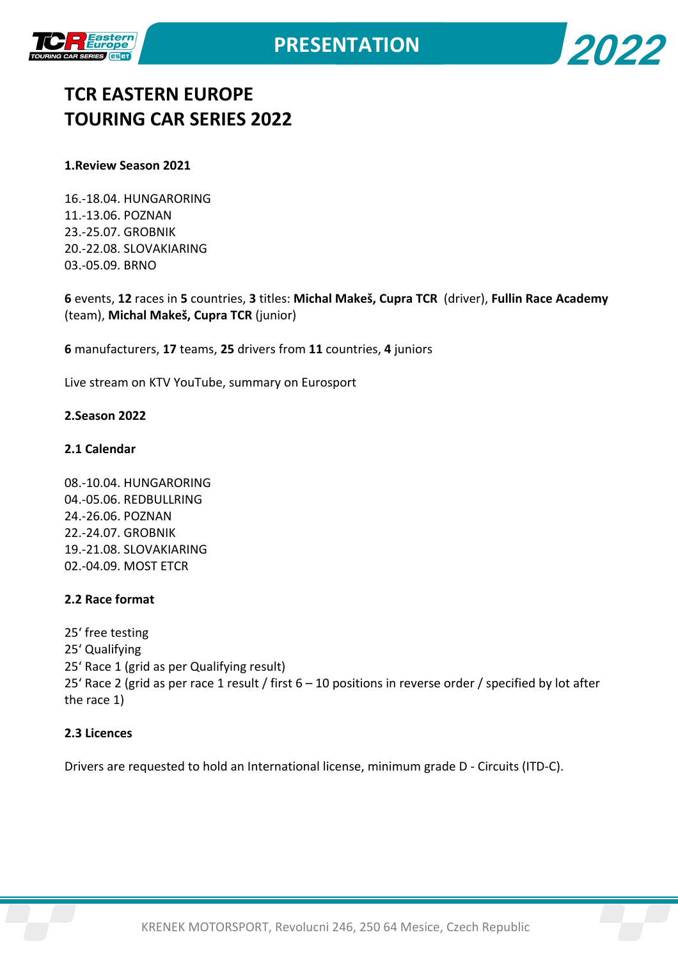

**2022**



#### **1.Review Season 2021**

16.-18.04. HUNGARORING 11.-13.06. POZNAN 23.-25.07. GROBNIK 20.-22.08. SLOVAKIARING 03.-05.09. BRNO

**6** events, **12** races in **5** countries, **3** titles: **Michal Makeš, Cupra TCR** (driver), **Fullin Race Academy** (team), **Michal Makeš, Cupra TCR** (junior)

**6** manufacturers, **17** teams, **25** drivers from **11** countries, **4** juniors

Live stream on KTV YouTube, summary on Eurosport

#### **2.Season 2022**

#### **2.1 Calendar**

08.-10.04. HUNGARORING 04.-05.06. REDBULLRING 24.-26.06. POZNAN 22.-24.07. GROBNIK 19.-21.08. SLOVAKIARING 02.-04.09. MOST ETCR

#### **2.2 Race format**

25' free testing 25' Qualifying 25' Race 1 (grid as per Qualifying result) 25' Race 2 (grid as per race 1 result / first 6 – 10 positions in reverse order / specified by lot after the race 1)

## **2.3 Licences**

Drivers are requested to hold an International license, minimum grade D - Circuits (ITD-C).